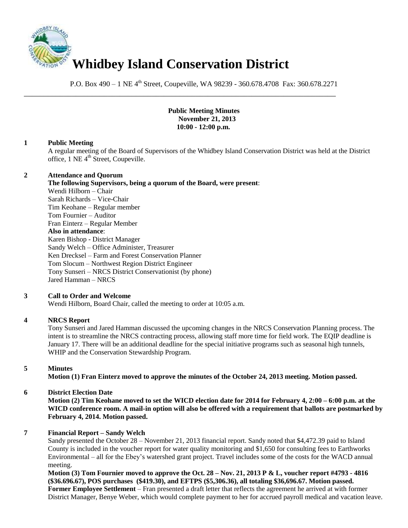

P.O. Box 490 – 1 NE 4<sup>th</sup> Street, Coupeville, WA 98239 - 360.678.4708 Fax: 360.678.2271

\_\_\_\_\_\_\_\_\_\_\_\_\_\_\_\_\_\_\_\_\_\_\_\_\_\_\_\_\_\_\_\_\_\_\_\_\_\_\_\_\_\_\_\_\_\_\_\_\_\_\_\_\_\_\_\_\_\_\_\_\_\_\_\_\_\_\_\_\_\_\_\_\_\_\_\_\_\_

### **Public Meeting Minutes November 21, 2013 10:00 - 12:00 p.m.**

# **1 Public Meeting**

A regular meeting of the Board of Supervisors of the Whidbey Island Conservation District was held at the District office, 1 NE 4<sup>th</sup> Street, Coupeville.

### **2 Attendance and Quorum**

**The following Supervisors, being a quorum of the Board, were present**: Wendi Hilborn – Chair Sarah Richards – Vice-Chair Tim Keohane – Regular member Tom Fournier – Auditor Fran Einterz – Regular Member **Also in attendance**: Karen Bishop - District Manager

Sandy Welch – Office Administer, Treasurer Ken Drecksel – Farm and Forest Conservation Planner Tom Slocum – Northwest Region District Engineer Tony Sunseri – NRCS District Conservationist (by phone) Jared Hamman – NRCS

# **3 Call to Order and Welcome**

Wendi Hilborn, Board Chair, called the meeting to order at 10:05 a.m.

# **4 NRCS Report**

Tony Sunseri and Jared Hamman discussed the upcoming changes in the NRCS Conservation Planning process. The intent is to streamline the NRCS contracting process, allowing staff more time for field work. The EQIP deadline is January 17. There will be an additional deadline for the special initiative programs such as seasonal high tunnels, WHIP and the Conservation Stewardship Program.

# **5 Minutes**

**Motion (1) Fran Einterz moved to approve the minutes of the October 24, 2013 meeting. Motion passed.** 

# **6 District Election Date**

**Motion (2) Tim Keohane moved to set the WICD election date for 2014 for February 4, 2:00 – 6:00 p.m. at the WICD conference room. A mail-in option will also be offered with a requirement that ballots are postmarked by February 4, 2014. Motion passed.** 

# **7 Financial Report – Sandy Welch**

Sandy presented the October 28 – November 21, 2013 financial report. Sandy noted that \$4,472.39 paid to Island County is included in the voucher report for water quality monitoring and \$1,650 for consulting fees to Earthworks Environmental – all for the Ebey's watershed grant project. Travel includes some of the costs for the WACD annual meeting.

**Motion (3) Tom Fournier moved to approve the Oct. 28 – Nov. 21, 2013 P & L, voucher report #4793 - 4816 (\$36.696.67), POS purchases (\$419.30), and EFTPS (\$5,306.36), all totaling \$36,696.67. Motion passed. Former Employee Settlement** – Fran presented a draft letter that reflects the agreement he arrived at with former District Manager, Benye Weber, which would complete payment to her for accrued payroll medical and vacation leave.